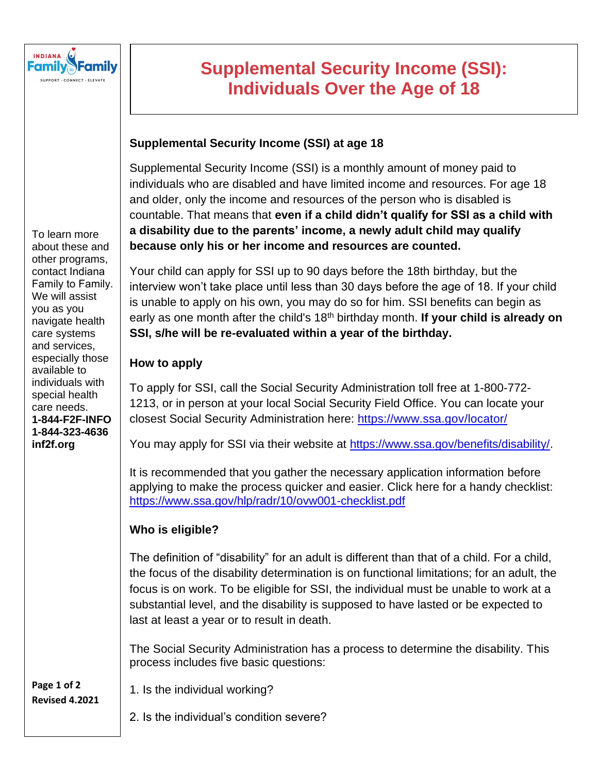

# **Supplemental Security Income (SSI): Individuals Over the Age of 18**

## **Supplemental Security Income (SSI) at age 18**

Supplemental Security Income (SSI) is a monthly amount of money paid to individuals who are disabled and have limited income and resources. For age 18 and older, only the income and resources of the person who is disabled is countable. That means that **even if a child didn't qualify for SSI as a child with a disability due to the parents' income, a newly adult child may qualify because only his or her income and resources are counted.** 

Your child can apply for SSI up to 90 days before the 18th birthday, but the interview won't take place until less than 30 days before the age of 18. If your child is unable to apply on his own, you may do so for him. SSI benefits can begin as early as one month after the child's 18th birthday month. **If your child is already on SSI, s/he will be re-evaluated within a year of the birthday.**

#### **How to apply**

To apply for SSI, call the Social Security Administration toll free at 1-800-772- 1213, or in person at your local Social Security Field Office. You can locate your closest Social Security Administration here:<https://www.ssa.gov/locator/>

You may apply for SSI via their website at [https://www.ssa.gov/benefits/disability/.](https://www.ssa.gov/benefits/disability/)

It is recommended that you gather the necessary application information before applying to make the process quicker and easier. Click here for a handy checklist: <https://www.ssa.gov/hlp/radr/10/ovw001-checklist.pdf>

## **Who is eligible?**

The definition of "disability" for an adult is different than that of a child. For a child, the focus of the disability determination is on functional limitations; for an adult, the focus is on work. To be eligible for SSI, the individual must be unable to work at a substantial level, and the disability is supposed to have lasted or be expected to last at least a year or to result in death.

The Social Security Administration has a process to determine the disability. This process includes five basic questions:

1. Is the individual working?

2. Is the individual's condition severe?

To learn more about these and other programs, contact Indiana Family to Family. We will assist you as you navigate health care systems and services, especially those available to individuals with special health care needs. **1-844-F2F-INFO 1-844-323-4636 inf2f.org**

**Page 1 of 2 Revised 4.2021**